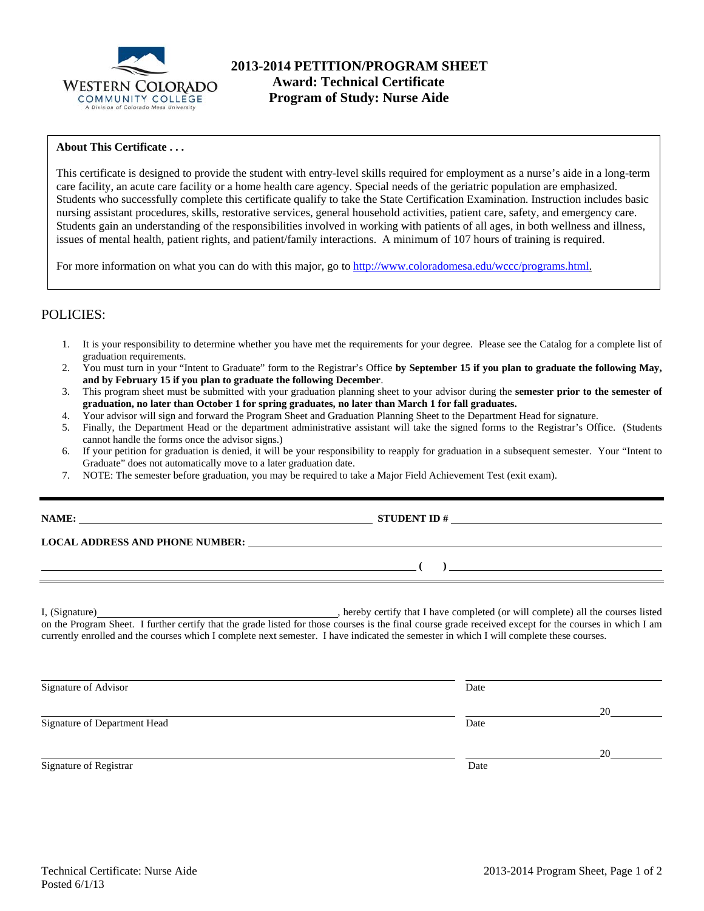

## **About This Certificate . . .**

This certificate is designed to provide the student with entry-level skills required for employment as a nurse's aide in a long-term care facility, an acute care facility or a home health care agency. Special needs of the geriatric population are emphasized. Students who successfully complete this certificate qualify to take the State Certification Examination. Instruction includes basic nursing assistant procedures, skills, restorative services, general household activities, patient care, safety, and emergency care. Students gain an understanding of the responsibilities involved in working with patients of all ages, in both wellness and illness, issues of mental health, patient rights, and patient/family interactions. A minimum of 107 hours of training is required.

For more information on what you can do with this major, go to http://www.coloradomesa.edu/wccc/programs.html.

## POLICIES:

- 1. It is your responsibility to determine whether you have met the requirements for your degree. Please see the Catalog for a complete list of graduation requirements.
- 2. You must turn in your "Intent to Graduate" form to the Registrar's Office **by September 15 if you plan to graduate the following May, and by February 15 if you plan to graduate the following December**.
- 3. This program sheet must be submitted with your graduation planning sheet to your advisor during the **semester prior to the semester of graduation, no later than October 1 for spring graduates, no later than March 1 for fall graduates.**
- 4. Your advisor will sign and forward the Program Sheet and Graduation Planning Sheet to the Department Head for signature.
- 5. Finally, the Department Head or the department administrative assistant will take the signed forms to the Registrar's Office. (Students cannot handle the forms once the advisor signs.)
- 6. If your petition for graduation is denied, it will be your responsibility to reapply for graduation in a subsequent semester. Your "Intent to Graduate" does not automatically move to a later graduation date.

**STUDENT ID #** 

 **( )** 

7. NOTE: The semester before graduation, you may be required to take a Major Field Achievement Test (exit exam).

**LOCAL ADDRESS AND PHONE NUMBER:**

I, (Signature) **Solution** , hereby certify that I have completed (or will complete) all the courses listed on the Program Sheet. I further certify that the grade listed for those courses is the final course grade received except for the courses in which I am currently enrolled and the courses which I complete next semester. I have indicated the semester in which I will complete these courses.

Signature of Advisor Date <u>20</u> Signature of Department Head Date <u>20</u> Signature of Registrar Date and Separature of Registrar Date